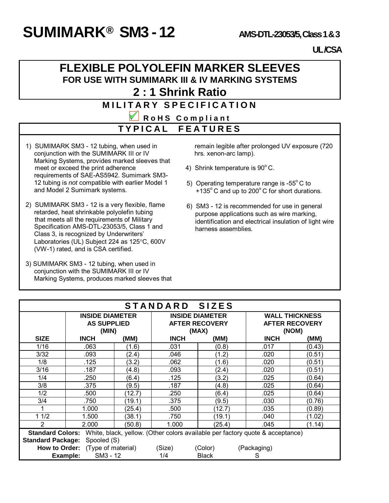# **SUMIMARK**<sup>®</sup> **SM3 - 12 AMS-DTL-23053/5, Class 1 & 3**

#### **UL /CSA**

#### **FLEXIBLE POLYOLEFIN MARKER SLEEVES FOR USE WITH SUMIMARK III & IV MARKING SYSTEMS 2 : 1 Shrink Ratio**

## **MILITARY SPECIFICATION**

**R o H S C o m p l i a n t T Y P I C A L F E A T U R E S**

- 1) SUMIMARK SM3 12 tubing, when used in conjunction with the SUMIMARK III or IV Marking Systems, provides marked sleeves that meet or exceed the print adherence requirements of SAE-AS5942. Sumimark SM3- 12 tubing is *not* compatible with earlier Model 1 and Model 2 Sumimark systems.
- 2) SUMIMARK SM3 12 is a very flexible, flame retarded, heat shrinkable polyolefin tubing that meets all the requirements of Military Specification AMS-DTL-23053/5, Class 1 and Class 3, is recognized by Underwriters' Laboratories (UL) Subject 224 as 125°C, 600V (VW-1) rated, and is CSA certified.
- 3) SUMIMARK SM3 12 tubing, when used in conjunction with the SUMIMARK III or IV Marking Systems, produces marked sleeves that

 remain legible after prolonged UV exposure (720 hrs. xenon-arc lamp).

- 4) Shrink temperature is  $90^{\circ}$  C.
- 5) Operating temperature range is  $-55^{\circ}$  C to +135 $\degree$ C and up to 200 $\degree$ C for short durations.
- 6) SM3 12 is recommended for use in general purpose applications such as wire marking, identification and electrical insulation of light wire harness assemblies.

| STANDARD SIZES                                                                                        |                                  |        |                        |              |                       |        |  |  |
|-------------------------------------------------------------------------------------------------------|----------------------------------|--------|------------------------|--------------|-----------------------|--------|--|--|
|                                                                                                       | <b>INSIDE DIAMETER</b>           |        | <b>INSIDE DIAMETER</b> |              | <b>WALL THICKNESS</b> |        |  |  |
|                                                                                                       | <b>AS SUPPLIED</b>               |        | <b>AFTER RECOVERY</b>  |              | <b>AFTER RECOVERY</b> |        |  |  |
|                                                                                                       | (MIN)                            |        | (MAX)                  |              | (NOM)                 |        |  |  |
| <b>SIZE</b>                                                                                           | <b>INCH</b>                      | (MM)   | <b>INCH</b>            | (MM)         | <b>INCH</b>           | (MM)   |  |  |
| 1/16                                                                                                  | .063                             | (1.6)  | .031                   | (0.8)        | .017                  | (0.43) |  |  |
| 3/32                                                                                                  | .093                             | (2.4)  | .046                   | (1.2)        | .020                  | (0.51) |  |  |
| 1/8                                                                                                   | .125                             | (3.2)  | .062                   | (1.6)        | .020                  | (0.51) |  |  |
| 3/16                                                                                                  | .187                             | (4.8)  | .093                   | (2.4)        | .020                  | (0.51) |  |  |
| 1/4                                                                                                   | .250                             | (6.4)  | .125                   | (3.2)        | .025                  | (0.64) |  |  |
| 3/8                                                                                                   | .375                             | (9.5)  | .187                   | (4.8)        | .025                  | (0.64) |  |  |
| 1/2                                                                                                   | .500                             | (12.7) | .250                   | (6.4)        | .025                  | (0.64) |  |  |
| 3/4                                                                                                   | .750                             | (19.1) | .375                   | (9.5)        | .030                  | (0.76) |  |  |
|                                                                                                       | 1.000                            | (25.4) | .500                   | (12.7)       | .035                  | (0.89) |  |  |
| 11/2                                                                                                  | 1.500                            | (38.1) | .750                   | (19.1)       | .040                  | (1.02) |  |  |
| 2                                                                                                     | 2.000                            | (50.8) | 1.000                  | (25.4)       | .045                  | (1.14) |  |  |
| <b>Standard Colors:</b> White, black, yellow. (Other colors available per factory quote & acceptance) |                                  |        |                        |              |                       |        |  |  |
| <b>Standard Package:</b><br>Spooled (S)                                                               |                                  |        |                        |              |                       |        |  |  |
|                                                                                                       | How to Order: (Type of material) |        | (Size)                 | (Color)      | (Packaging)           |        |  |  |
|                                                                                                       | SM3 - 12<br>Example:             |        | 1/4                    | <b>Black</b> | S                     |        |  |  |